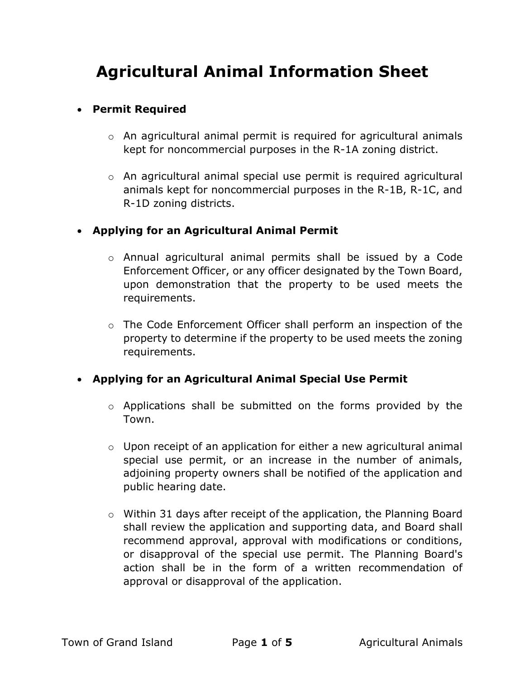# Agricultural Animal Information Sheet

#### Permit Required

- o An agricultural animal permit is required for agricultural animals kept for noncommercial purposes in the R-1A zoning district.
- o An agricultural animal special use permit is required agricultural animals kept for noncommercial purposes in the R-1B, R-1C, and R-1D zoning districts.

### Applying for an Agricultural Animal Permit

- o Annual agricultural animal permits shall be issued by a Code Enforcement Officer, or any officer designated by the Town Board, upon demonstration that the property to be used meets the requirements.
- o The Code Enforcement Officer shall perform an inspection of the property to determine if the property to be used meets the zoning requirements.

# Applying for an Agricultural Animal Special Use Permit

- o Applications shall be submitted on the forms provided by the Town.
- $\circ$  Upon receipt of an application for either a new agricultural animal special use permit, or an increase in the number of animals, adjoining property owners shall be notified of the application and public hearing date.
- o Within 31 days after receipt of the application, the Planning Board shall review the application and supporting data, and Board shall recommend approval, approval with modifications or conditions, or disapproval of the special use permit. The Planning Board's action shall be in the form of a written recommendation of approval or disapproval of the application.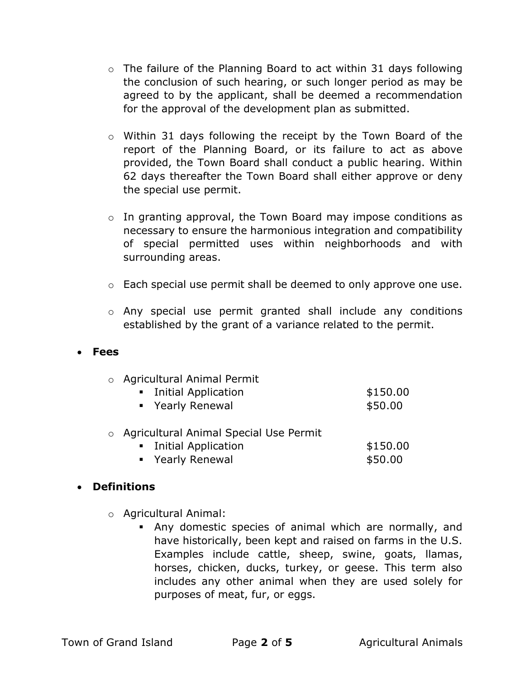- $\circ$  The failure of the Planning Board to act within 31 days following the conclusion of such hearing, or such longer period as may be agreed to by the applicant, shall be deemed a recommendation for the approval of the development plan as submitted.
- o Within 31 days following the receipt by the Town Board of the report of the Planning Board, or its failure to act as above provided, the Town Board shall conduct a public hearing. Within 62 days thereafter the Town Board shall either approve or deny the special use permit.
- o In granting approval, the Town Board may impose conditions as necessary to ensure the harmonious integration and compatibility of special permitted uses within neighborhoods and with surrounding areas.
- o Each special use permit shall be deemed to only approve one use.
- o Any special use permit granted shall include any conditions established by the grant of a variance related to the permit.

#### Fees

| o Agricultural Animal Permit |  |  |  |  |  |  |          |  |
|------------------------------|--|--|--|--|--|--|----------|--|
| • Initial Application        |  |  |  |  |  |  | \$150.00 |  |
| • Yearly Renewal             |  |  |  |  |  |  | \$50.00  |  |
|                              |  |  |  |  |  |  |          |  |

- o Agricultural Animal Special Use Permit
	- **Initial Application** \$150.00 ■ Yearly Renewal **\$50.00**

#### Definitions

- o Agricultural Animal:
	- Any domestic species of animal which are normally, and have historically, been kept and raised on farms in the U.S. Examples include cattle, sheep, swine, goats, llamas, horses, chicken, ducks, turkey, or geese. This term also includes any other animal when they are used solely for purposes of meat, fur, or eggs.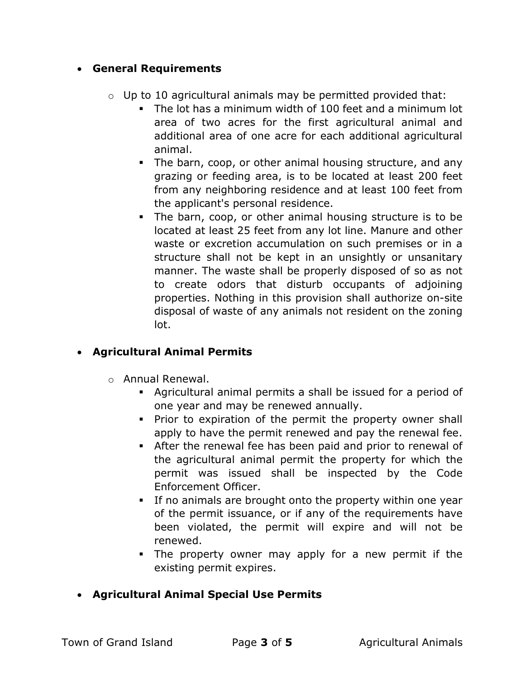## General Requirements

- $\circ$  Up to 10 agricultural animals may be permitted provided that:
	- The lot has a minimum width of 100 feet and a minimum lot area of two acres for the first agricultural animal and additional area of one acre for each additional agricultural animal.
	- The barn, coop, or other animal housing structure, and any grazing or feeding area, is to be located at least 200 feet from any neighboring residence and at least 100 feet from the applicant's personal residence.
	- The barn, coop, or other animal housing structure is to be located at least 25 feet from any lot line. Manure and other waste or excretion accumulation on such premises or in a structure shall not be kept in an unsightly or unsanitary manner. The waste shall be properly disposed of so as not to create odors that disturb occupants of adjoining properties. Nothing in this provision shall authorize on-site disposal of waste of any animals not resident on the zoning lot.

# Agricultural Animal Permits

- o Annual Renewal.
	- Agricultural animal permits a shall be issued for a period of one year and may be renewed annually.
	- **Prior to expiration of the permit the property owner shall** apply to have the permit renewed and pay the renewal fee.
	- After the renewal fee has been paid and prior to renewal of the agricultural animal permit the property for which the permit was issued shall be inspected by the Code Enforcement Officer.
	- If no animals are brought onto the property within one year of the permit issuance, or if any of the requirements have been violated, the permit will expire and will not be renewed.
	- The property owner may apply for a new permit if the existing permit expires.
- Agricultural Animal Special Use Permits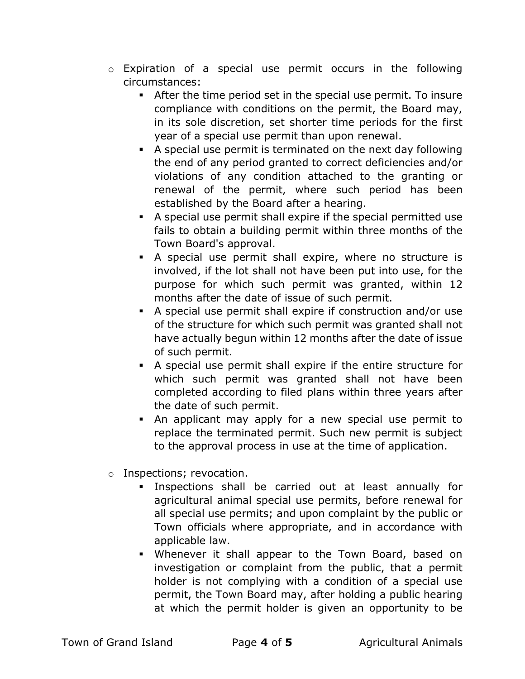- o Expiration of a special use permit occurs in the following circumstances:
	- After the time period set in the special use permit. To insure compliance with conditions on the permit, the Board may, in its sole discretion, set shorter time periods for the first year of a special use permit than upon renewal.
	- A special use permit is terminated on the next day following the end of any period granted to correct deficiencies and/or violations of any condition attached to the granting or renewal of the permit, where such period has been established by the Board after a hearing.
	- A special use permit shall expire if the special permitted use fails to obtain a building permit within three months of the Town Board's approval.
	- A special use permit shall expire, where no structure is involved, if the lot shall not have been put into use, for the purpose for which such permit was granted, within 12 months after the date of issue of such permit.
	- A special use permit shall expire if construction and/or use of the structure for which such permit was granted shall not have actually begun within 12 months after the date of issue of such permit.
	- A special use permit shall expire if the entire structure for which such permit was granted shall not have been completed according to filed plans within three years after the date of such permit.
	- An applicant may apply for a new special use permit to replace the terminated permit. Such new permit is subject to the approval process in use at the time of application.
- o Inspections; revocation.
	- Inspections shall be carried out at least annually for agricultural animal special use permits, before renewal for all special use permits; and upon complaint by the public or Town officials where appropriate, and in accordance with applicable law.
	- Whenever it shall appear to the Town Board, based on investigation or complaint from the public, that a permit holder is not complying with a condition of a special use permit, the Town Board may, after holding a public hearing at which the permit holder is given an opportunity to be